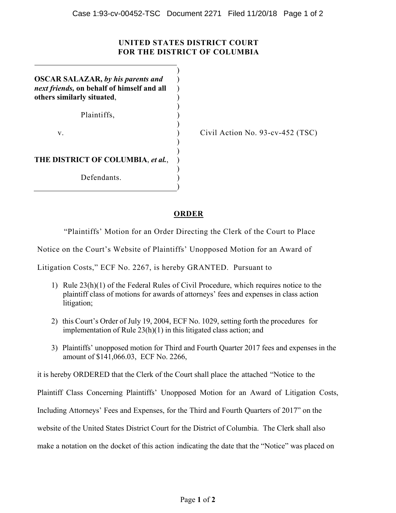## **UNITED STATES DISTRICT COURT FOR THE DISTRICT OF COLUMBIA**

 $\lambda$ ) )

)

 $\overline{\phantom{a}}$ **OSCAR SALAZAR,** *by his parents and next friends,* **on behalf of himself and all others similarly situated**,  $)$ 

Plaintiffs,  $\qquad \qquad$ )

 $)$ 

 $\mathbf{v}$ .

Civil Action No. 93-cv-452 (TSC)

 $)$ **THE DISTRICT OF COLUMBIA**, *et al.*, )  $)$ 

Defendants.

 $)$ 

## **ORDER**

"Plaintiffs' Motion for an Order Directing the Clerk of the Court to Place

Notice on the Court's Website of Plaintiffs' Unopposed Motion for an Award of

Litigation Costs," ECF No. 2267, is hereby GRANTED. Pursuant to

- 1) Rule 23(h)(1) of the Federal Rules of Civil Procedure, which requires notice to the plaintiff class of motions for awards of attorneys' fees and expenses in class action litigation;
- 2) this Court's Order of July 19, 2004, ECF No. 1029, setting forth the procedures for implementation of Rule 23(h)(1) in this litigated class action; and
- 3) Plaintiffs' unopposed motion for Third and Fourth Quarter 2017 fees and expenses in the amount of \$141,066.03, ECF No. 2266,

it is hereby ORDERED that the Clerk of the Court shall place the attached "Notice to the

Plaintiff Class Concerning Plaintiffs' Unopposed Motion for an Award of Litigation Costs,

Including Attorneys' Fees and Expenses, for the Third and Fourth Quarters of 2017" on the

website of the United States District Court for the District of Columbia. The Clerk shall also

make a notation on the docket of this action indicating the date that the "Notice" was placed on